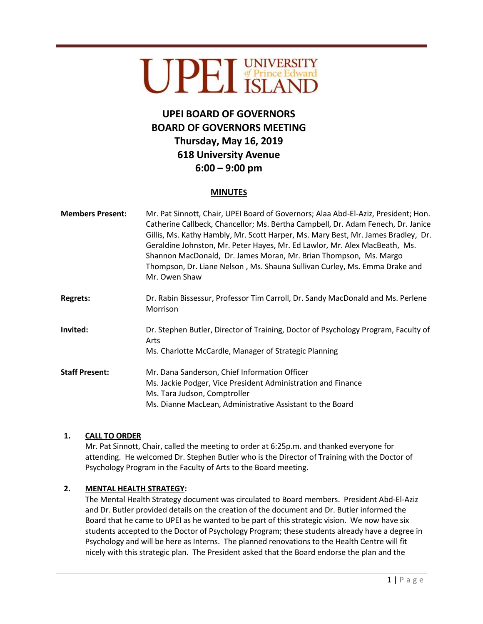# UPEI UNIVERSITY

# **UPEI BOARD OF GOVERNORS BOARD OF GOVERNORS MEETING Thursday, May 16, 2019 618 University Avenue 6:00 – 9:00 pm**

#### **MINUTES**

| <b>Members Present:</b> | Mr. Pat Sinnott, Chair, UPEI Board of Governors; Alaa Abd-El-Aziz, President; Hon.<br>Catherine Callbeck, Chancellor; Ms. Bertha Campbell, Dr. Adam Fenech, Dr. Janice<br>Gillis, Ms. Kathy Hambly, Mr. Scott Harper, Ms. Mary Best, Mr. James Bradley, Dr.<br>Geraldine Johnston, Mr. Peter Hayes, Mr. Ed Lawlor, Mr. Alex MacBeath, Ms.<br>Shannon MacDonald, Dr. James Moran, Mr. Brian Thompson, Ms. Margo<br>Thompson, Dr. Liane Nelson, Ms. Shauna Sullivan Curley, Ms. Emma Drake and<br>Mr. Owen Shaw |
|-------------------------|---------------------------------------------------------------------------------------------------------------------------------------------------------------------------------------------------------------------------------------------------------------------------------------------------------------------------------------------------------------------------------------------------------------------------------------------------------------------------------------------------------------|
| <b>Regrets:</b>         | Dr. Rabin Bissessur, Professor Tim Carroll, Dr. Sandy MacDonald and Ms. Perlene<br>Morrison                                                                                                                                                                                                                                                                                                                                                                                                                   |
| Invited:                | Dr. Stephen Butler, Director of Training, Doctor of Psychology Program, Faculty of<br>Arts<br>Ms. Charlotte McCardle, Manager of Strategic Planning                                                                                                                                                                                                                                                                                                                                                           |
| <b>Staff Present:</b>   | Mr. Dana Sanderson, Chief Information Officer<br>Ms. Jackie Podger, Vice President Administration and Finance<br>Ms. Tara Judson, Comptroller<br>Ms. Dianne MacLean, Administrative Assistant to the Board                                                                                                                                                                                                                                                                                                    |

#### **1. CALL TO ORDER**

Mr. Pat Sinnott, Chair, called the meeting to order at 6:25p.m. and thanked everyone for attending. He welcomed Dr. Stephen Butler who is the Director of Training with the Doctor of Psychology Program in the Faculty of Arts to the Board meeting.

#### **2. MENTAL HEALTH STRATEGY:**

The Mental Health Strategy document was circulated to Board members. President Abd-El-Aziz and Dr. Butler provided details on the creation of the document and Dr. Butler informed the Board that he came to UPEI as he wanted to be part of this strategic vision. We now have six students accepted to the Doctor of Psychology Program; these students already have a degree in Psychology and will be here as Interns. The planned renovations to the Health Centre will fit nicely with this strategic plan. The President asked that the Board endorse the plan and the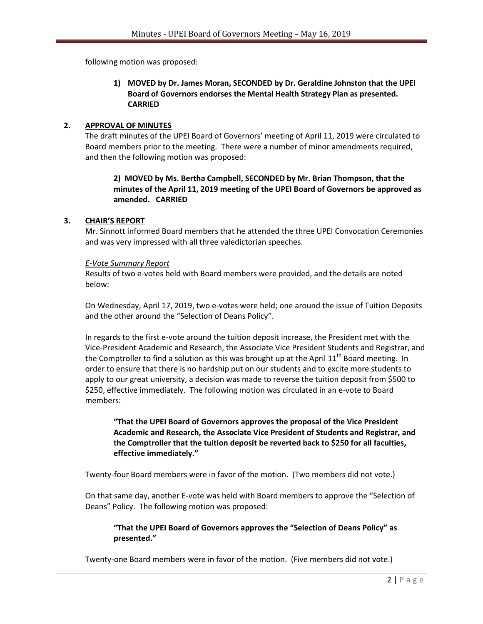following motion was proposed:

#### **1) MOVED by Dr. James Moran, SECONDED by Dr. Geraldine Johnston that the UPEI Board of Governors endorses the Mental Health Strategy Plan as presented. CARRIED**

#### **2. APPROVAL OF MINUTES**

The draft minutes of the UPEI Board of Governors' meeting of April 11, 2019 were circulated to Board members prior to the meeting. There were a number of minor amendments required, and then the following motion was proposed:

# **2) MOVED by Ms. Bertha Campbell, SECONDED by Mr. Brian Thompson, that the minutes of the April 11, 2019 meeting of the UPEI Board of Governors be approved as amended. CARRIED**

#### **3. CHAIR'S REPORT**

Mr. Sinnott informed Board members that he attended the three UPEI Convocation Ceremonies and was very impressed with all three valedictorian speeches.

#### *E-Vote Summary Report*

Results of two e-votes held with Board members were provided, and the details are noted below:

On Wednesday, April 17, 2019, two e-votes were held; one around the issue of Tuition Deposits and the other around the "Selection of Deans Policy".

In regards to the first e-vote around the tuition deposit increase, the President met with the Vice-President Academic and Research, the Associate Vice President Students and Registrar, and the Comptroller to find a solution as this was brought up at the April  $11<sup>th</sup>$  Board meeting. In order to ensure that there is no hardship put on our students and to excite more students to apply to our great university, a decision was made to reverse the tuition deposit from \$500 to \$250, effective immediately. The following motion was circulated in an e-vote to Board members:

## **"That the UPEI Board of Governors approves the proposal of the Vice President Academic and Research, the Associate Vice President of Students and Registrar, and the Comptroller that the tuition deposit be reverted back to \$250 for all faculties, effective immediately."**

Twenty-four Board members were in favor of the motion. (Two members did not vote.)

On that same day, another E-vote was held with Board members to approve the "Selection of Deans" Policy. The following motion was proposed:

#### **"That the UPEI Board of Governors approves the "Selection of Deans Policy" as presented."**

Twenty-one Board members were in favor of the motion. (Five members did not vote.)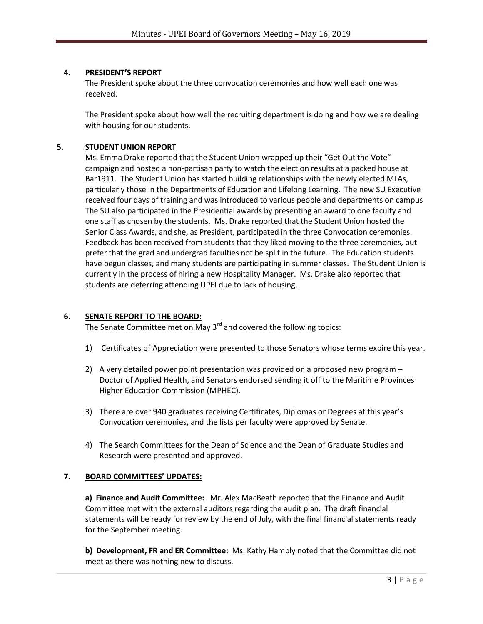#### **4. PRESIDENT'S REPORT**

The President spoke about the three convocation ceremonies and how well each one was received.

The President spoke about how well the recruiting department is doing and how we are dealing with housing for our students.

#### **5. STUDENT UNION REPORT**

Ms. Emma Drake reported that the Student Union wrapped up their "Get Out the Vote" campaign and hosted a non-partisan party to watch the election results at a packed house at Bar1911. The Student Union has started building relationships with the newly elected MLAs, particularly those in the Departments of Education and Lifelong Learning. The new SU Executive received four days of training and was introduced to various people and departments on campus The SU also participated in the Presidential awards by presenting an award to one faculty and one staff as chosen by the students. Ms. Drake reported that the Student Union hosted the Senior Class Awards, and she, as President, participated in the three Convocation ceremonies. Feedback has been received from students that they liked moving to the three ceremonies, but prefer that the grad and undergrad faculties not be split in the future. The Education students have begun classes, and many students are participating in summer classes. The Student Union is currently in the process of hiring a new Hospitality Manager. Ms. Drake also reported that students are deferring attending UPEI due to lack of housing.

## **6. SENATE REPORT TO THE BOARD:**

The Senate Committee met on May  $3<sup>rd</sup>$  and covered the following topics:

- 1) Certificates of Appreciation were presented to those Senators whose terms expire this year.
- 2) A very detailed power point presentation was provided on a proposed new program Doctor of Applied Health, and Senators endorsed sending it off to the Maritime Provinces Higher Education Commission (MPHEC).
- 3) There are over 940 graduates receiving Certificates, Diplomas or Degrees at this year's Convocation ceremonies, and the lists per faculty were approved by Senate.
- 4) The Search Committees for the Dean of Science and the Dean of Graduate Studies and Research were presented and approved.

#### **7. BOARD COMMITTEES' UPDATES:**

**a) Finance and Audit Committee:** Mr. Alex MacBeath reported that the Finance and Audit Committee met with the external auditors regarding the audit plan. The draft financial statements will be ready for review by the end of July, with the final financial statements ready for the September meeting.

**b) Development, FR and ER Committee:** Ms. Kathy Hambly noted that the Committee did not meet as there was nothing new to discuss.